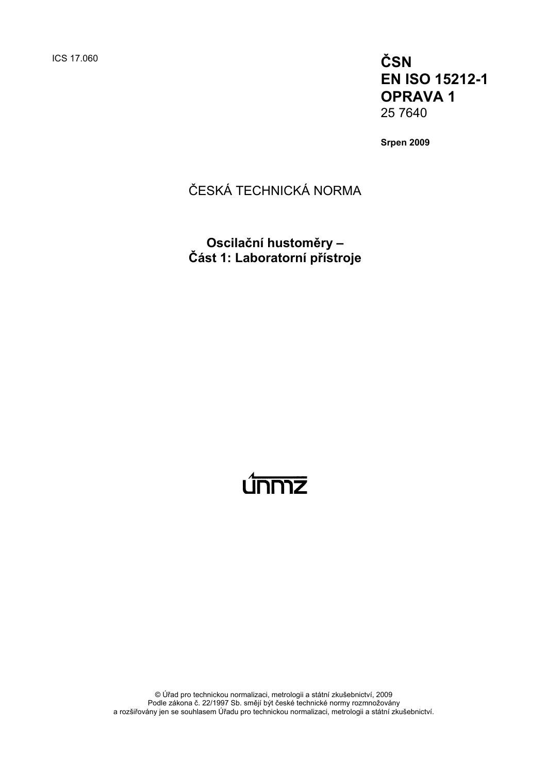ICS 17.060 **ČSN EN ISO 15212-1 OPRAVA 1**  25 7640

**Srpen 2009** 

# ČESKÁ TECHNICKÁ NORMA

**Oscilační hustoměry – Část 1: Laboratorní přístroje** 

# <u>únmz</u>

© Úřad pro technickou normalizaci, metrologii a státní zkušebnictví, 2009 Podle zákona č. 22/1997 Sb. smějí být české technické normy rozmnožovány a rozšiřovány jen se souhlasem Úřadu pro technickou normalizaci, metrologii a státní zkušebnictví.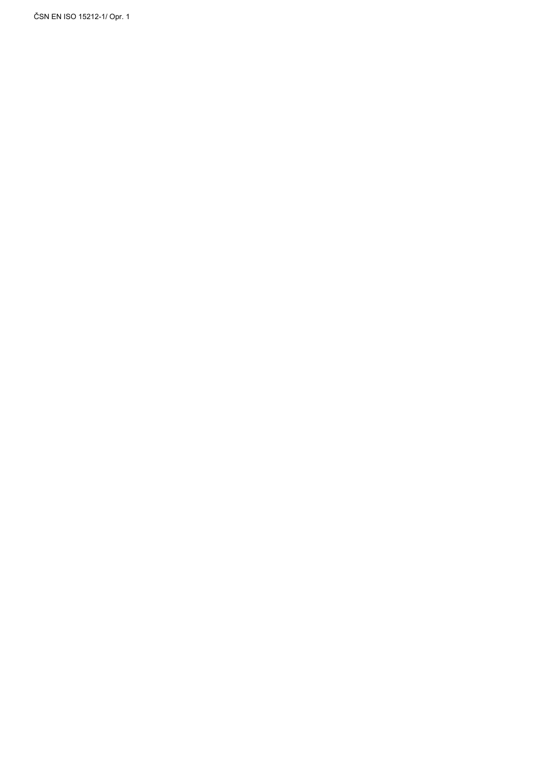ČSN EN ISO 15212-1/ Opr. 1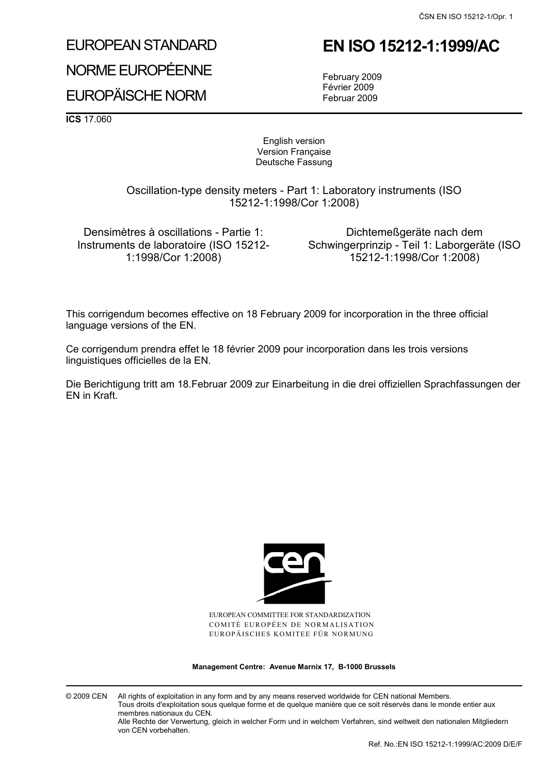### EUROPEAN STANDARD

# **EN ISO 15212-1:1999/AC**

NORME EUROPÉENNE

EUROPÄISCHE NORM

 February 2009 Février 2009 Februar 2009

**ICS** 17.060

English version Version Française Deutsche Fassung

 Oscillation-type density meters - Part 1: Laboratory instruments (ISO 15212-1:1998/Cor 1:2008)

Densimètres à oscillations - Partie 1: Instruments de laboratoire (ISO 15212- 1:1998/Cor 1:2008)

 Dichtemeßgeräte nach dem Schwingerprinzip - Teil 1: Laborgeräte (ISO 15212-1:1998/Cor 1:2008)

This corrigendum becomes effective on 18 February 2009 for incorporation in the three official language versions of the EN.

Ce corrigendum prendra effet le 18 février 2009 pour incorporation dans les trois versions linguistiques officielles de la EN.

Die Berichtigung tritt am 18.Februar 2009 zur Einarbeitung in die drei offiziellen Sprachfassungen der EN in Kraft.



EUROPEAN COMMITTEE FOR STANDARDIZATION COMITÉ EUROPÉEN DE NORMALISATION EUROPÄISCHES KOMITEE FÜR NORMUNG

**Management Centre: Avenue Marnix 17, B-1000 Brussels** 

© 2009 CEN All rights of exploitation in any form and by any means reserved worldwide for CEN national Members. Tous droits d'exploitation sous quelque forme et de quelque manière que ce soit réservés dans le monde entier aux membres nationaux du CEN. Alle Rechte der Verwertung, gleich in welcher Form und in welchem Verfahren, sind weltweit den nationalen Mitgliedern

von CEN vorbehalten.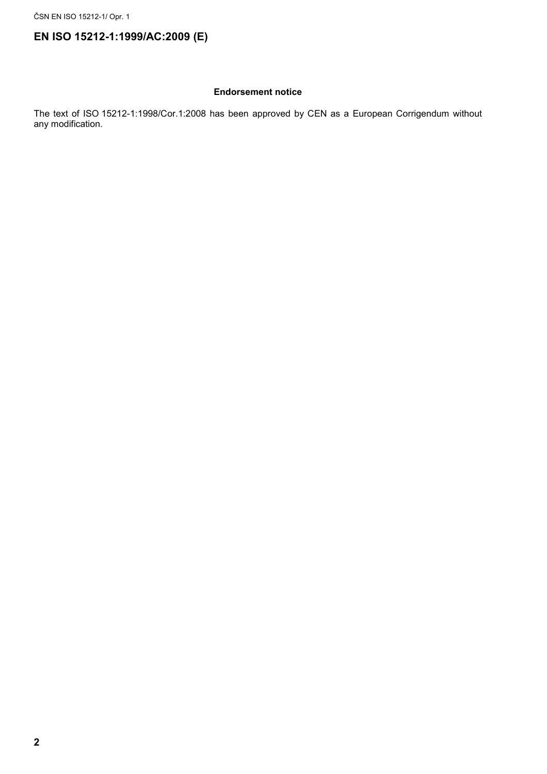### **EN ISO 15212-1:1999/AC:2009 (E)**

### **Endorsement notice**

The text of ISO 15212-1:1998/Cor.1:2008 has been approved by CEN as a European Corrigendum without any modification.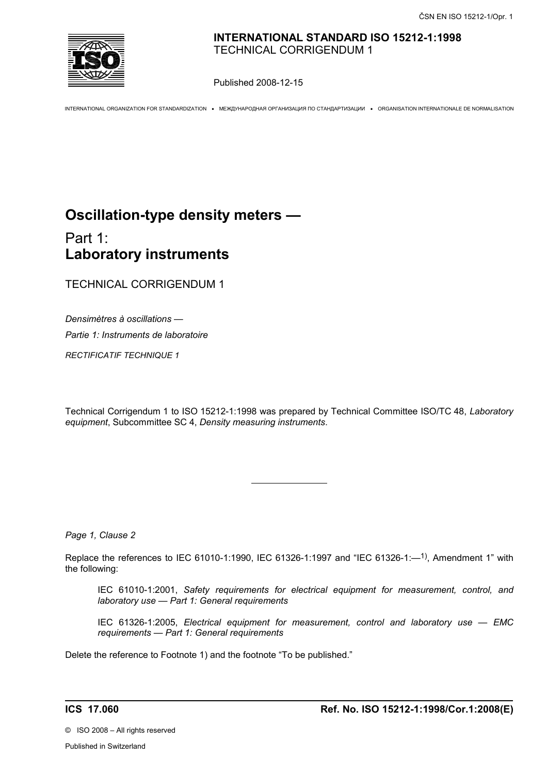

### **INTERNATIONAL STANDARD ISO 15212-1:1998**  TECHNICAL CORRIGENDUM 1

Published 2008-12-15

INTERNATIONAL ORGANIZATION FOR STANDARDIZATION • МЕЖДУНАРОДНАЯ ОРГАНИЗАЦИЯ ПО СТАНДАРТИЗАЦИИ • ORGANISATION INTERNATIONALE DE NORMALISATION

# **Oscillation-type density meters —**

### Part 1: **Laboratory instruments**

TECHNICAL CORRIGENDUM 1

*Densimètres à oscillations — Partie 1: Instruments de laboratoire RECTIFICATIF TECHNIQUE 1*

Technical Corrigendum 1 to ISO 15212-1:1998 was prepared by Technical Committee ISO/TC 48, *Laboratory equipment*, Subcommittee SC 4, *Density measuring instruments*.

 $\overline{a}$ 

*Page 1, Clause 2* 

Replace the references to IEC 61010-1:1990, IEC 61326-1:1997 and "IEC 61326-1:—1), Amendment 1" with the following:

 IEC 61010-1:2001, *Safety requirements for electrical equipment for measurement, control, and laboratory use — Part 1: General requirements*

IEC 61326-1:2005, *Electrical equipment for measurement, control and laboratory use — EMC requirements — Part 1: General requirements*

Delete the reference to Footnote 1) and the footnote "To be published."

©ISO 2008 – All rights reserved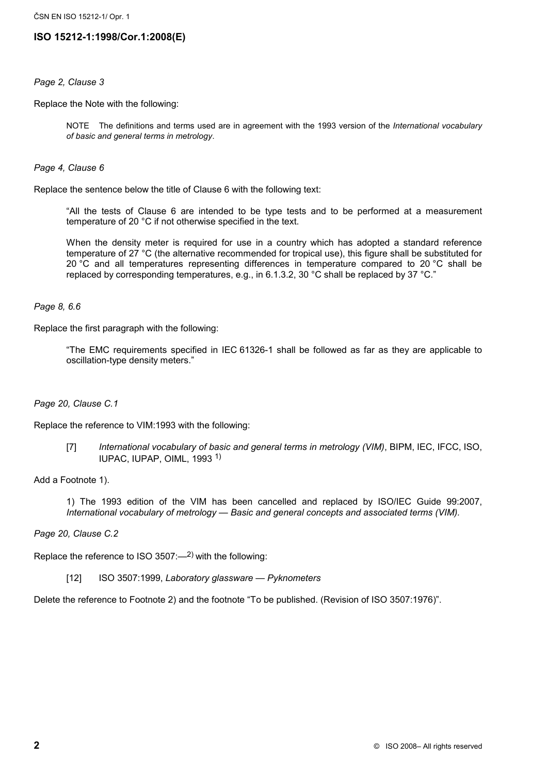ČSN EN ISO 15212-1/ Opr. 1

### **ISO 15212-1:1998/Cor.1:2008(E)**

### *Page 2, Clause 3*

Replace the Note with the following:

NOTE The definitions and terms used are in agreement with the 1993 version of the *International vocabulary of basic and general terms in metrology*.

#### *Page 4, Clause 6*

Replace the sentence below the title of Clause 6 with the following text:

"All the tests of Clause 6 are intended to be type tests and to be performed at a measurement temperature of 20 °C if not otherwise specified in the text.

When the density meter is required for use in a country which has adopted a standard reference temperature of 27 °C (the alternative recommended for tropical use), this figure shall be substituted for 20 °C and all temperatures representing differences in temperature compared to 20 °C shall be replaced by corresponding temperatures, e.g., in 6.1.3.2, 30 °C shall be replaced by 37 °C."

### *Page 8, 6.6*

Replace the first paragraph with the following:

 "The EMC requirements specified in IEC 61326-1 shall be followed as far as they are applicable to oscillation-type density meters."

#### *Page 20, Clause C.1*

Replace the reference to VIM:1993 with the following:

[7] *International vocabulary of basic and general terms in metrology (VIM)*, BIPM, IEC, IFCC, ISO, IUPAC, IUPAP, OIML, 1993 1)

Add a Footnote 1).

1) The 1993 edition of the VIM has been cancelled and replaced by ISO/IEC Guide 99:2007, *International vocabulary of metrology — Basic and general concepts and associated terms (VIM).*

#### *Page 20, Clause C.2*

Replace the reference to ISO 3507:—2) with the following:

[12] ISO 3507:1999, *Laboratory glassware — Pyknometers* 

Delete the reference to Footnote 2) and the footnote "To be published. (Revision of ISO 3507:1976)".